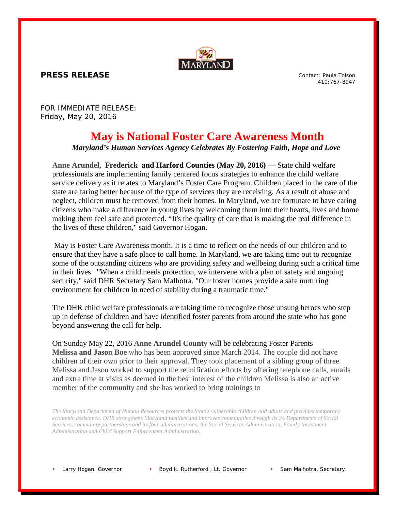

**PRESS RELEASE**

Contact: Paula Tolson 410:767-8947

FOR IMMEDIATE RELEASE: Friday, May 20, 2016

## **May is National Foster Care Awareness Month**

*Maryland's Human Services Agency Celebrates By Fostering Faith, Hope and Love*

**Anne Arundel, Frederick and Harford Counties (May 20, 2016)** — State child welfare professionals are implementing family centered focus strategies to enhance the child welfare service delivery as it relates to Maryland's Foster Care Program. Children placed in the care of the state are faring better because of the type of services they are receiving. As a result of abuse and neglect, children must be removed from their homes. In Maryland, we are fortunate to have caring citizens who make a difference in young lives by welcoming them into their hearts, lives and home making them feel safe and protected. "It's the quality of care that is making the real difference in the lives of these children," said Governor Hogan.

May is Foster Care Awareness month. It is a time to reflect on the needs of our children and to ensure that they have a safe place to call home. In Maryland, we are taking time out to recognize some of the outstanding citizens who are providing safety and wellbeing during such a critical time in their lives. "When a child needs protection, we intervene with a plan of safety and ongoing security," said DHR Secretary Sam Malhotra. "Our foster homes provide a safe nurturing environment for children in need of stability during a traumatic time."

The DHR child welfare professionals are taking time to recognize those unsung heroes who step up in defense of children and have identified foster parents from around the state who has gone beyond answering the call for help.

On Sunday May 22, 2016 **Anne Arundel County** will be celebrating Foster Parents **Melissa and Jason Boe** who has been approved since March 2014. The couple did not have children of their own prior to their approval. They took placement of a sibling group of three. Melissa and Jason worked to support the reunification efforts by offering telephone calls, emails and extra time at visits as deemed in the best interest of the children Melissa is also an active member of the community and she has worked to bring trainings to

*The Maryland Department of Human Resources protects the State's vulnerable children and adults and provides temporary economic assistance. DHR strengthens Maryland families and improves communities through its 24 Departments of Social Services, community partnerships and its four administrations: the Social Services Administration, Family Investment Administration and Child Support Enforcement Administration.*

Larry Hogan, Governor • Boyd k. Rutherford, Lt. Governor • Sam Malhotra, Secretary